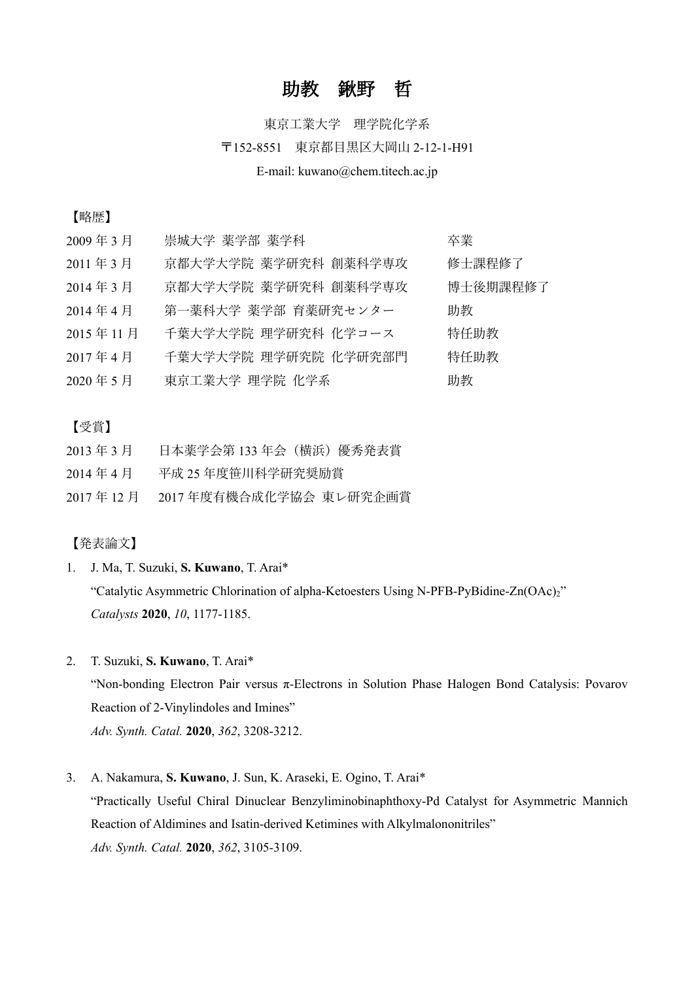## 助教 鍬野 哲

# 東京工業大学 理学院化学系 〒152-8551 東京都⽬⿊区⼤岡⼭ 2-12-1-H91 E-mail: kuwano@chem.titech.ac.jp

### 【略歴】

| 2009年3月  | 崇城大学 薬学部 薬学科         | 卒業       |
|----------|----------------------|----------|
| 2011年3月  | 京都大学大学院 薬学研究科 創薬科学専攻 | 修士課程修了   |
| 2014年3月  | 京都大学大学院 薬学研究科 創薬科学専攻 | 博士後期課程修了 |
| 2014年4月  | 第一薬科大学 薬学部 育薬研究センター  | 助教       |
| 2015年11月 | 千葉大学大学院 理学研究科 化学コース  | 特任助教     |
| 2017年4月  | 千葉大学大学院 理学研究院 化学研究部門 | 特任助教     |
| 2020年5月  | 東京工業大学 理学院 化学系       | 助教       |
|          |                      |          |

#### 【受賞】

- 2013年3月 日本薬学会第 133年会(横浜)優秀発表賞
- 2014 年 4 ⽉ 平成 25 年度笹川科学研究奨励賞
- 2017年12月 2017年度有機合成化学協会 東レ研究企画賞

### 【発表論⽂】

1. J. Ma, T. Suzuki, **S. Kuwano**, T. Arai\*

"Catalytic Asymmetric Chlorination of alpha-Ketoesters Using N-PFB-PyBidine-Zn(OAc)2" *Catalysts* **2020**, *10*, 1177-1185.

2. T. Suzuki, **S. Kuwano**, T. Arai\*

"Non-bonding Electron Pair versus π-Electrons in Solution Phase Halogen Bond Catalysis: Povarov Reaction of 2-Vinylindoles and Imines"

*Adv. Synth. Catal.* **2020**, *362*, 3208-3212.

#### 3. A. Nakamura, **S. Kuwano**, J. Sun, K. Araseki, E. Ogino, T. Arai\*

"Practically Useful Chiral Dinuclear Benzyliminobinaphthoxy-Pd Catalyst for Asymmetric Mannich Reaction of Aldimines and Isatin-derived Ketimines with Alkylmalononitriles" *Adv. Synth. Catal.* **2020**, *362*, 3105-3109.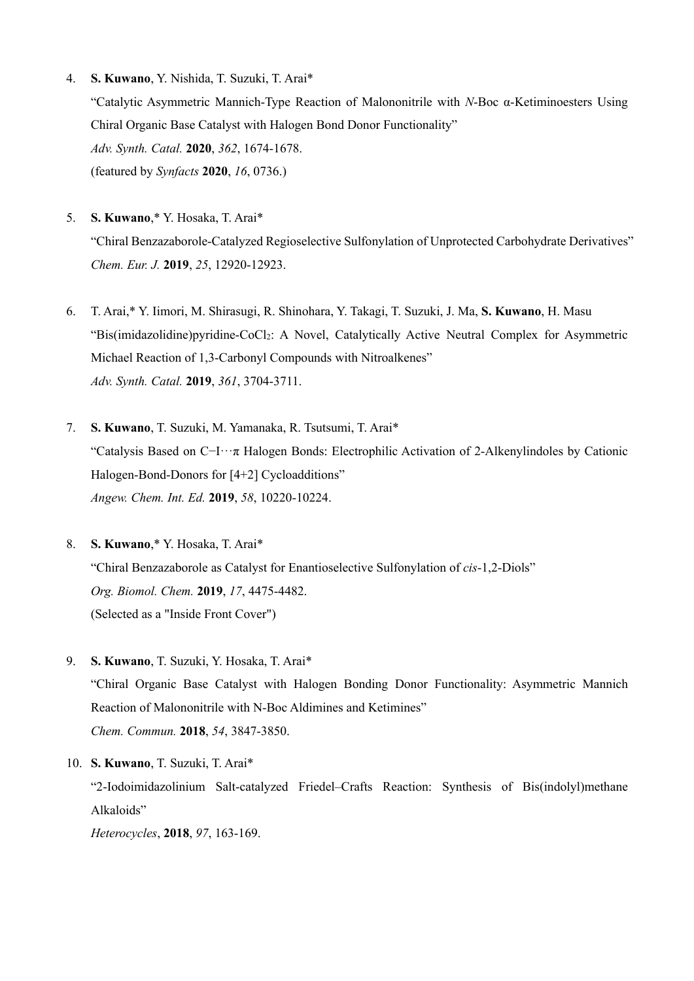- 4. **S. Kuwano**, Y. Nishida, T. Suzuki, T. Arai\* "Catalytic Asymmetric Mannich-Type Reaction of Malononitrile with *N*-Boc α-Ketiminoesters Using Chiral Organic Base Catalyst with Halogen Bond Donor Functionality" *Adv. Synth. Catal.* **2020**, *362*, 1674-1678. (featured by *Synfacts* **2020**, *16*, 0736.)
- 5. **S. Kuwano**,\* Y. Hosaka, T. Arai\* "Chiral Benzazaborole-Catalyzed Regioselective Sulfonylation of Unprotected Carbohydrate Derivatives" *Chem. Eur. J.* **2019**, *25*, 12920-12923.
- 6. T. Arai,\* Y. Iimori, M. Shirasugi, R. Shinohara, Y. Takagi, T. Suzuki, J. Ma, **S. Kuwano**, H. Masu "Bis(imidazolidine)pyridine-CoCl2: A Novel, Catalytically Active Neutral Complex for Asymmetric Michael Reaction of 1,3-Carbonyl Compounds with Nitroalkenes" *Adv. Synth. Catal.* **2019**, *361*, 3704-3711.
- 7. **S. Kuwano**, T. Suzuki, M. Yamanaka, R. Tsutsumi, T. Arai\* "Catalysis Based on C−I···π Halogen Bonds: Electrophilic Activation of 2-Alkenylindoles by Cationic Halogen-Bond-Donors for [4+2] Cycloadditions" *Angew. Chem. Int. Ed.* **2019**, *58*, 10220-10224.
- 8. **S. Kuwano**,\* Y. Hosaka, T. Arai\* "Chiral Benzazaborole as Catalyst for Enantioselective Sulfonylation of *cis*-1,2-Diols" *Org. Biomol. Chem.* **2019**, *17*, 4475-4482. (Selected as a "Inside Front Cover")
- 9. **S. Kuwano**, T. Suzuki, Y. Hosaka, T. Arai\* "Chiral Organic Base Catalyst with Halogen Bonding Donor Functionality: Asymmetric Mannich Reaction of Malononitrile with N-Boc Aldimines and Ketimines" *Chem. Commun.* **2018**, *54*, 3847-3850.

10. **S. Kuwano**, T. Suzuki, T. Arai\* "2-Iodoimidazolinium Salt-catalyzed Friedel–Crafts Reaction: Synthesis of Bis(indolyl)methane Alkaloids"

*Heterocycles*, **2018**, *97*, 163-169.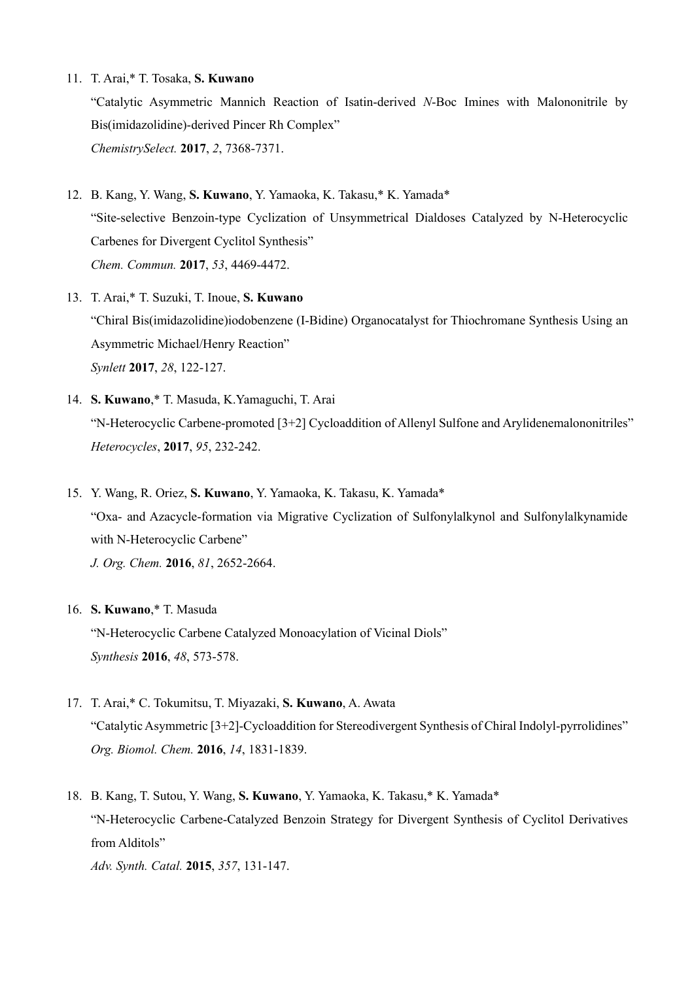11. T. Arai,\* T. Tosaka, **S. Kuwano**

"Catalytic Asymmetric Mannich Reaction of Isatin-derived *N*-Boc Imines with Malononitrile by Bis(imidazolidine)-derived Pincer Rh Complex" *ChemistrySelect.* **2017**, *2*, 7368-7371.

- 12. B. Kang, Y. Wang, **S. Kuwano**, Y. Yamaoka, K. Takasu,\* K. Yamada\* "Site-selective Benzoin-type Cyclization of Unsymmetrical Dialdoses Catalyzed by N-Heterocyclic Carbenes for Divergent Cyclitol Synthesis" *Chem. Commun.* **2017**, *53*, 4469-4472.
- 13. T. Arai,\* T. Suzuki, T. Inoue, **S. Kuwano** "Chiral Bis(imidazolidine)iodobenzene (I-Bidine) Organocatalyst for Thiochromane Synthesis Using an Asymmetric Michael/Henry Reaction" *Synlett* **2017**, *28*, 122-127.
- 14. **S. Kuwano**,\* T. Masuda, K.Yamaguchi, T. Arai "N-Heterocyclic Carbene-promoted [3+2] Cycloaddition of Allenyl Sulfone and Arylidenemalononitriles" *Heterocycles*, **2017**, *95*, 232-242.
- 15. Y. Wang, R. Oriez, **S. Kuwano**, Y. Yamaoka, K. Takasu, K. Yamada\* "Oxa- and Azacycle-formation via Migrative Cyclization of Sulfonylalkynol and Sulfonylalkynamide with N-Heterocyclic Carbene" *J. Org. Chem.* **2016**, *81*, 2652-2664.
- 16. **S. Kuwano**,\* T. Masuda "N-Heterocyclic Carbene Catalyzed Monoacylation of Vicinal Diols" *Synthesis* **2016**, *48*, 573-578.
- 17. T. Arai,\* C. Tokumitsu, T. Miyazaki, **S. Kuwano**, A. Awata "Catalytic Asymmetric [3+2]-Cycloaddition for Stereodivergent Synthesis of Chiral Indolyl-pyrrolidines" *Org. Biomol. Chem.* **2016**, *14*, 1831-1839.
- 18. B. Kang, T. Sutou, Y. Wang, **S. Kuwano**, Y. Yamaoka, K. Takasu,\* K. Yamada\* "N-Heterocyclic Carbene-Catalyzed Benzoin Strategy for Divergent Synthesis of Cyclitol Derivatives from Alditols"

*Adv. Synth. Catal.* **2015**, *357*, 131-147.